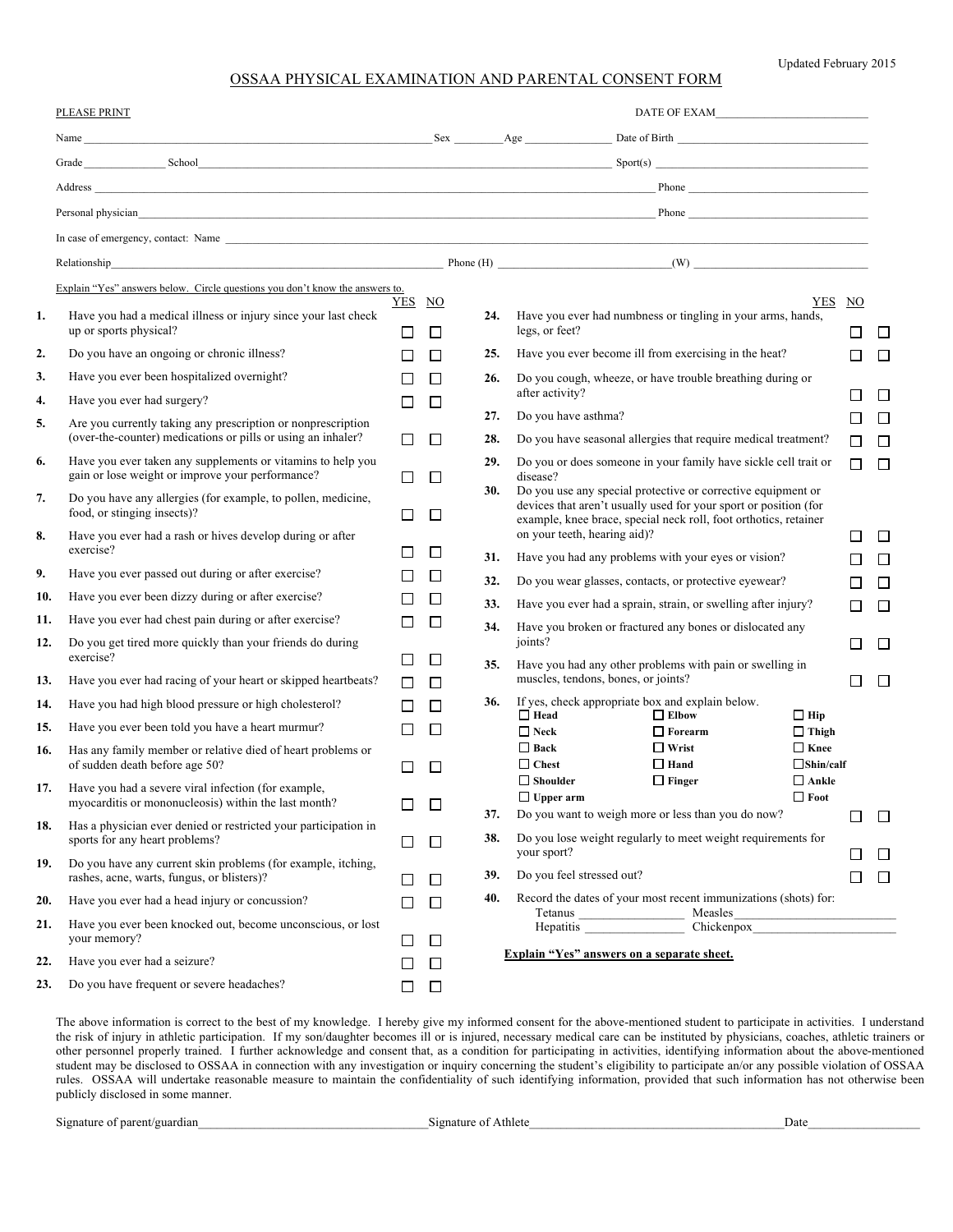Updated February 2015

## OSSAA PHYSICAL EXAMINATION AND PARENTAL CONSENT FORM

|     | PLEASE PRINT                                                                                                                 |                  |        | $\begin{tabular}{ c c } \hline \textbf{DATE OF EXAMPLE} & \textbf{0} & \textbf{0} & \textbf{0} & \textbf{0} & \textbf{0} & \textbf{0} & \textbf{0} & \textbf{0} & \textbf{0} & \textbf{0} & \textbf{0} & \textbf{0} & \textbf{0} & \textbf{0} & \textbf{0} & \textbf{0} & \textbf{0} & \textbf{0} & \textbf{0} & \textbf{0} & \textbf{0} & \textbf{0} & \textbf{0} & \textbf{0} & \textbf{0} & \textbf{0} & \textbf{0} & \textbf{0} &$ |                                                                                                                                                                                                                                |          |        |
|-----|------------------------------------------------------------------------------------------------------------------------------|------------------|--------|----------------------------------------------------------------------------------------------------------------------------------------------------------------------------------------------------------------------------------------------------------------------------------------------------------------------------------------------------------------------------------------------------------------------------------------|--------------------------------------------------------------------------------------------------------------------------------------------------------------------------------------------------------------------------------|----------|--------|
|     |                                                                                                                              |                  |        |                                                                                                                                                                                                                                                                                                                                                                                                                                        |                                                                                                                                                                                                                                |          |        |
|     |                                                                                                                              |                  |        |                                                                                                                                                                                                                                                                                                                                                                                                                                        | Grade School School School School Space of the School Space of the Space Space School Space of the School Space of the School Space of the School Space of the School Space of the School Space of the School Space of the Sch |          |        |
|     |                                                                                                                              |                  |        |                                                                                                                                                                                                                                                                                                                                                                                                                                        | Address <u>Phone</u>                                                                                                                                                                                                           |          |        |
|     |                                                                                                                              |                  |        |                                                                                                                                                                                                                                                                                                                                                                                                                                        | Personal physician experiments are all the contract of the contract of the contract of the contract of the contract of the contract of the contract of the contract of the contract of the contract of the contract of the con |          |        |
|     |                                                                                                                              |                  |        |                                                                                                                                                                                                                                                                                                                                                                                                                                        |                                                                                                                                                                                                                                |          |        |
|     |                                                                                                                              |                  |        |                                                                                                                                                                                                                                                                                                                                                                                                                                        |                                                                                                                                                                                                                                |          |        |
|     | Explain "Yes" answers below. Circle questions you don't know the answers to.                                                 |                  |        |                                                                                                                                                                                                                                                                                                                                                                                                                                        |                                                                                                                                                                                                                                |          |        |
| 1.  | Have you had a medical illness or injury since your last check<br>up or sports physical?                                     | YES NO<br>$\Box$ | □      | 24.                                                                                                                                                                                                                                                                                                                                                                                                                                    | YES<br>Have you ever had numbness or tingling in your arms, hands,<br>legs, or feet?                                                                                                                                           | NO<br>П  | ⊔      |
| 2.  | Do you have an ongoing or chronic illness?                                                                                   | П                | П      | 25.                                                                                                                                                                                                                                                                                                                                                                                                                                    | Have you ever become ill from exercising in the heat?                                                                                                                                                                          | П        | □      |
| 3.  | Have you ever been hospitalized overnight?                                                                                   | $\perp$          | П      | 26.                                                                                                                                                                                                                                                                                                                                                                                                                                    | Do you cough, wheeze, or have trouble breathing during or                                                                                                                                                                      |          |        |
| 4.  | Have you ever had surgery?                                                                                                   | П                | П      |                                                                                                                                                                                                                                                                                                                                                                                                                                        | after activity?                                                                                                                                                                                                                | П        | □      |
| 5.  | Are you currently taking any prescription or nonprescription<br>(over-the-counter) medications or pills or using an inhaler? |                  |        | 27.                                                                                                                                                                                                                                                                                                                                                                                                                                    | Do you have asthma?                                                                                                                                                                                                            | П        | □      |
| 6.  | Have you ever taken any supplements or vitamins to help you                                                                  | П                | П      | 28.<br>29.                                                                                                                                                                                                                                                                                                                                                                                                                             | Do you have seasonal allergies that require medical treatment?<br>Do you or does someone in your family have sickle cell trait or                                                                                              | П<br>П   | □      |
|     | gain or lose weight or improve your performance?                                                                             | П                | ⊔      |                                                                                                                                                                                                                                                                                                                                                                                                                                        | disease?                                                                                                                                                                                                                       |          | $\Box$ |
| 7.  | Do you have any allergies (for example, to pollen, medicine,<br>food, or stinging insects)?                                  | П                | $\Box$ | 30.                                                                                                                                                                                                                                                                                                                                                                                                                                    | Do you use any special protective or corrective equipment or<br>devices that aren't usually used for your sport or position (for<br>example, knee brace, special neck roll, foot orthotics, retainer                           |          |        |
| 8.  | Have you ever had a rash or hives develop during or after<br>exercise?                                                       | ΙI               | □      |                                                                                                                                                                                                                                                                                                                                                                                                                                        | on your teeth, hearing aid)?                                                                                                                                                                                                   | ΙI       | $\Box$ |
| 9.  | Have you ever passed out during or after exercise?                                                                           |                  | $\Box$ | 31.                                                                                                                                                                                                                                                                                                                                                                                                                                    | Have you had any problems with your eyes or vision?                                                                                                                                                                            | П        | П      |
| 10. | Have you ever been dizzy during or after exercise?                                                                           |                  | □      | 32.                                                                                                                                                                                                                                                                                                                                                                                                                                    | Do you wear glasses, contacts, or protective eyewear?                                                                                                                                                                          | П        | П      |
| 11. | Have you ever had chest pain during or after exercise?                                                                       | П                | П      | 33.                                                                                                                                                                                                                                                                                                                                                                                                                                    | Have you ever had a sprain, strain, or swelling after injury?                                                                                                                                                                  | П        | $\Box$ |
| 12. | Do you get tired more quickly than your friends do during<br>exercise?                                                       | Ш                | $\Box$ | 34.                                                                                                                                                                                                                                                                                                                                                                                                                                    | Have you broken or fractured any bones or dislocated any<br>joints?                                                                                                                                                            | П        | $\Box$ |
| 13. | Have you ever had racing of your heart or skipped heartbeats?                                                                | П                | $\Box$ | 35.                                                                                                                                                                                                                                                                                                                                                                                                                                    | Have you had any other problems with pain or swelling in<br>muscles, tendons, bones, or joints?                                                                                                                                | П        | $\Box$ |
| 14. | Have you had high blood pressure or high cholesterol?                                                                        | П                | П      | 36.                                                                                                                                                                                                                                                                                                                                                                                                                                    | If yes, check appropriate box and explain below.                                                                                                                                                                               |          |        |
| 15. | Have you ever been told you have a heart murmur?                                                                             | П                | П      |                                                                                                                                                                                                                                                                                                                                                                                                                                        | $\Box$ Elbow<br>$\Box$ Head<br>$\Box$ Hip<br>$\square$ Neck<br>$\Box$ Forearm<br>$\Box$ Thigh                                                                                                                                  |          |        |
| 16. | Has any family member or relative died of heart problems or<br>of sudden death before age 50?                                | ΙI               | □      |                                                                                                                                                                                                                                                                                                                                                                                                                                        | $\Box$ Wrist<br>$\Box$ Back<br>$\Box$ Knee<br>$\Box$ Chest<br>$\Box$ Hand<br>$\Box$ Shin/calf                                                                                                                                  |          |        |
| 17. | Have you had a severe viral infection (for example,<br>myocarditis or mononucleosis) within the last month?                  |                  | □      | 37.                                                                                                                                                                                                                                                                                                                                                                                                                                    | $\Box$ Shoulder<br>$\Box$ Finger<br>$\Box$ Ankle<br>$\Box$ Foot<br>$\Box$ Upper arm<br>Do you want to weigh more or less than you do now?                                                                                      |          |        |
| 18. | Has a physician ever denied or restricted your participation in<br>sports for any heart problems?                            | ப                | $\Box$ | 38.                                                                                                                                                                                                                                                                                                                                                                                                                                    | Do you lose weight regularly to meet weight requirements for                                                                                                                                                                   | ΙI       | $\Box$ |
| 19. | Do you have any current skin problems (for example, itching,<br>rashes, acne, warts, fungus, or blisters)?                   |                  | □      | 39.                                                                                                                                                                                                                                                                                                                                                                                                                                    | your sport?<br>Do you feel stressed out?                                                                                                                                                                                       | ΙI<br>ΙI | ⊔<br>⊔ |
| 20. | Have you ever had a head injury or concussion?                                                                               | ப                | □      | 40.                                                                                                                                                                                                                                                                                                                                                                                                                                    | Record the dates of your most recent immunizations (shots) for:                                                                                                                                                                |          |        |
| 21. | Have you ever been knocked out, become unconscious, or lost<br>your memory?                                                  | $\Box$           | $\Box$ |                                                                                                                                                                                                                                                                                                                                                                                                                                        | Tetanus Measles<br>Hepatitis Chickenpox Chickenpox                                                                                                                                                                             |          |        |
| 22. | Have you ever had a seizure?                                                                                                 |                  | □      |                                                                                                                                                                                                                                                                                                                                                                                                                                        | Explain "Yes" answers on a separate sheet.                                                                                                                                                                                     |          |        |
| 23. | Do you have frequent or severe headaches?                                                                                    | ப                | □      |                                                                                                                                                                                                                                                                                                                                                                                                                                        |                                                                                                                                                                                                                                |          |        |

The above information is correct to the best of my knowledge. I hereby give my informed consent for the above-mentioned student to participate in activities. I understand the risk of injury in athletic participation. If my son/daughter becomes ill or is injured, necessary medical care can be instituted by physicians, coaches, athletic trainers or other personnel properly trained. I further acknowledge and consent that, as a condition for participating in activities, identifying information about the above-mentioned student may be disclosed to OSSAA in connection with any investigation or inquiry concerning the student's eligibility to participate an/or any possible violation of OSSAA rules. OSSAA will undertake reasonable measure to maintain the confidentiality of such identifying information, provided that such information has not otherwise been publicly disclosed in some manner.

Signature of parent/guardian\_\_\_\_\_\_\_\_\_\_\_\_\_\_\_\_\_\_\_\_\_\_\_\_\_\_\_\_\_\_\_\_\_\_\_\_\_Signature of Athlete\_\_\_\_\_\_\_\_\_\_\_\_\_\_\_\_\_\_\_\_\_\_\_\_\_\_\_\_\_\_\_\_\_\_\_\_\_\_\_\_\_Date\_\_\_\_\_\_\_\_\_\_\_\_\_\_\_\_\_\_